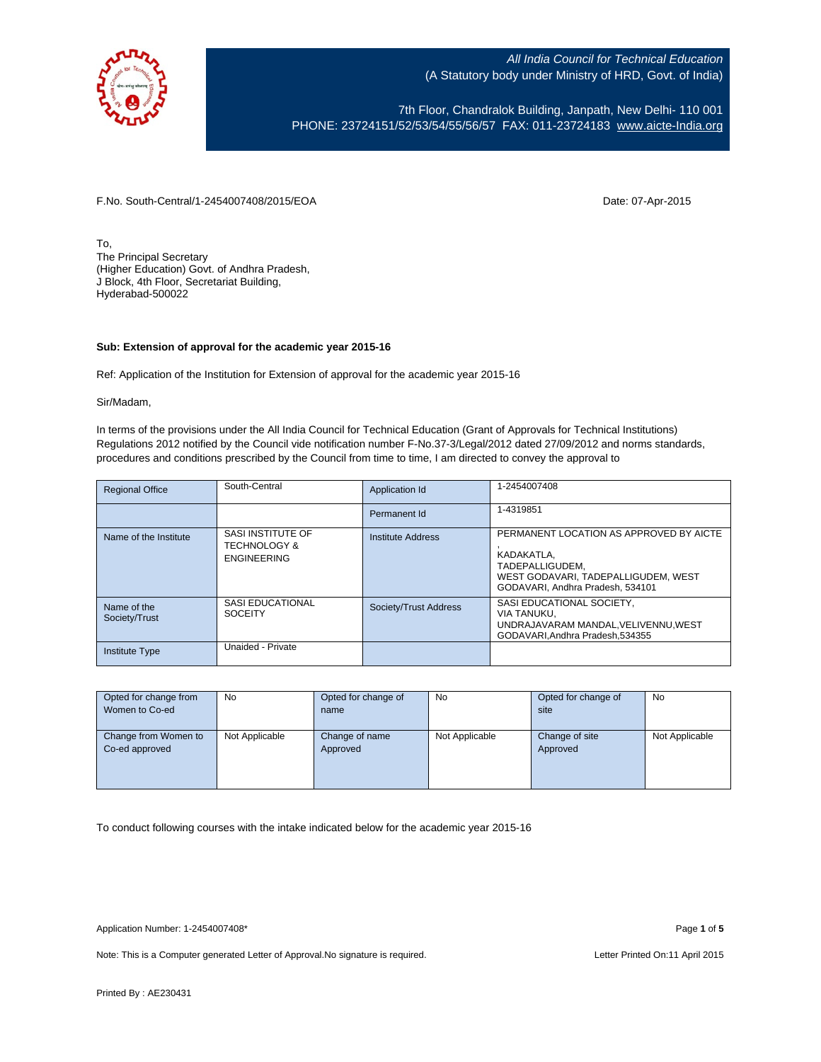

7th Floor, Chandralok Building, Janpath, New Delhi- 110 001 PHONE: 23724151/52/53/54/55/56/57 FAX: 011-23724183 [www.aicte-India.org](http://www.aicte-india.org/)

F.No. South-Central/1-2454007408/2015/EOA Date: 07-Apr-2015

To, The Principal Secretary (Higher Education) Govt. of Andhra Pradesh, J Block, 4th Floor, Secretariat Building, Hyderabad-500022

## **Sub: Extension of approval for the academic year 2015-16**

Ref: Application of the Institution for Extension of approval for the academic year 2015-16

Sir/Madam,

In terms of the provisions under the All India Council for Technical Education (Grant of Approvals for Technical Institutions) Regulations 2012 notified by the Council vide notification number F-No.37-3/Legal/2012 dated 27/09/2012 and norms standards, procedures and conditions prescribed by the Council from time to time, I am directed to convey the approval to

| <b>Regional Office</b>       | South-Central                                                      | Application Id        | 1-2454007408                                                                                                                                        |
|------------------------------|--------------------------------------------------------------------|-----------------------|-----------------------------------------------------------------------------------------------------------------------------------------------------|
|                              |                                                                    | Permanent Id          | 1-4319851                                                                                                                                           |
| Name of the Institute        | SASI INSTITUTE OF<br><b>TECHNOLOGY &amp;</b><br><b>ENGINEERING</b> | Institute Address     | PERMANENT LOCATION AS APPROVED BY AICTE<br>KADAKATLA.<br>TADEPALLIGUDEM.<br>WEST GODAVARI, TADEPALLIGUDEM, WEST<br>GODAVARI. Andhra Pradesh. 534101 |
| Name of the<br>Society/Trust | SASI EDUCATIONAL<br><b>SOCEITY</b>                                 | Society/Trust Address | SASI EDUCATIONAL SOCIETY,<br>VIA TANUKU,<br>UNDRAJAVARAM MANDAL, VELIVENNU, WEST<br>GODAVARI.Andhra Pradesh.534355                                  |
| <b>Institute Type</b>        | Unaided - Private                                                  |                       |                                                                                                                                                     |

| Opted for change from<br>Women to Co-ed | <b>No</b>      | Opted for change of<br>name | No             | Opted for change of<br>site | No             |
|-----------------------------------------|----------------|-----------------------------|----------------|-----------------------------|----------------|
| Change from Women to<br>Co-ed approved  | Not Applicable | Change of name<br>Approved  | Not Applicable | Change of site<br>Approved  | Not Applicable |

To conduct following courses with the intake indicated below for the academic year 2015-16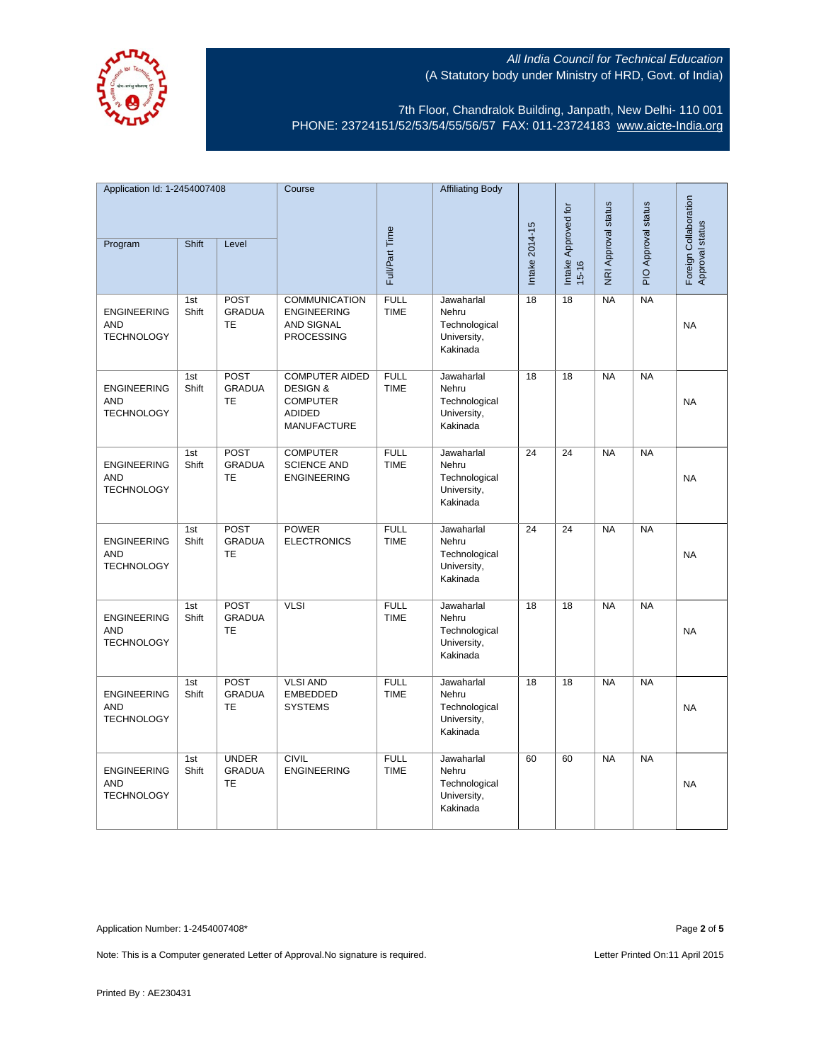

7th Floor, Chandralok Building, Janpath, New Delhi- 110 001 PHONE: 23724151/52/53/54/55/56/57 FAX: 011-23724183 [www.aicte-India.org](http://www.aicte-india.org/)

| Application Id: 1-2454007408                          |              | Course                                     |                                                                                                        | <b>Affiliating Body</b>    |                                                                 |                 |                                  |                     |                     |                                          |
|-------------------------------------------------------|--------------|--------------------------------------------|--------------------------------------------------------------------------------------------------------|----------------------------|-----------------------------------------------------------------|-----------------|----------------------------------|---------------------|---------------------|------------------------------------------|
| Program                                               | Shift        | Level                                      |                                                                                                        | Full/Part Time             |                                                                 | Intake 2014-15  | Intake Approved for<br>$15 - 16$ | NRI Approval status | PIO Approval status | Foreign Collaboration<br>Approval status |
| <b>ENGINEERING</b><br><b>AND</b><br><b>TECHNOLOGY</b> | 1st<br>Shift | POST<br><b>GRADUA</b><br><b>TE</b>         | <b>COMMUNICATION</b><br><b>ENGINEERING</b><br><b>AND SIGNAL</b><br><b>PROCESSING</b>                   | <b>FULL</b><br><b>TIME</b> | Jawaharlal<br>Nehru<br>Technological<br>University,<br>Kakinada | 18              | $\overline{18}$                  | NA                  | NA                  | <b>NA</b>                                |
| <b>ENGINEERING</b><br><b>AND</b><br><b>TECHNOLOGY</b> | 1st<br>Shift | <b>POST</b><br><b>GRADUA</b><br>TE         | <b>COMPUTER AIDED</b><br><b>DESIGN &amp;</b><br><b>COMPUTER</b><br><b>ADIDED</b><br><b>MANUFACTURE</b> | <b>FULL</b><br><b>TIME</b> | Jawaharlal<br>Nehru<br>Technological<br>University,<br>Kakinada | 18              | $\overline{18}$                  | <b>NA</b>           | NA                  | <b>NA</b>                                |
| <b>ENGINEERING</b><br><b>AND</b><br><b>TECHNOLOGY</b> | 1st<br>Shift | <b>POST</b><br><b>GRADUA</b><br>TE         | <b>COMPUTER</b><br><b>SCIENCE AND</b><br><b>ENGINEERING</b>                                            | <b>FULL</b><br><b>TIME</b> | Jawaharlal<br>Nehru<br>Technological<br>University,<br>Kakinada | 24              | $\overline{24}$                  | <b>NA</b>           | NA                  | <b>NA</b>                                |
| <b>ENGINEERING</b><br><b>AND</b><br><b>TECHNOLOGY</b> | 1st<br>Shift | POST<br><b>GRADUA</b><br>TE                | <b>POWER</b><br><b>ELECTRONICS</b>                                                                     | <b>FULL</b><br><b>TIME</b> | Jawaharlal<br>Nehru<br>Technological<br>University,<br>Kakinada | $\overline{24}$ | $\overline{24}$                  | NA                  | NA                  | <b>NA</b>                                |
| <b>ENGINEERING</b><br><b>AND</b><br><b>TECHNOLOGY</b> | 1st<br>Shift | <b>POST</b><br><b>GRADUA</b><br>TE         | <b>VLSI</b>                                                                                            | <b>FULL</b><br><b>TIME</b> | Jawaharlal<br>Nehru<br>Technological<br>University,<br>Kakinada | 18              | 18                               | <b>NA</b>           | <b>NA</b>           | <b>NA</b>                                |
| <b>ENGINEERING</b><br><b>AND</b><br><b>TECHNOLOGY</b> | 1st<br>Shift | <b>POST</b><br><b>GRADUA</b><br><b>TE</b>  | <b>VLSI AND</b><br><b>EMBEDDED</b><br><b>SYSTEMS</b>                                                   | <b>FULL</b><br><b>TIME</b> | Jawaharlal<br>Nehru<br>Technological<br>University,<br>Kakinada | 18              | 18                               | <b>NA</b>           | <b>NA</b>           | <b>NA</b>                                |
| <b>ENGINEERING</b><br><b>AND</b><br><b>TECHNOLOGY</b> | 1st<br>Shift | <b>UNDER</b><br><b>GRADUA</b><br><b>TE</b> | <b>CIVIL</b><br><b>ENGINEERING</b>                                                                     | <b>FULL</b><br><b>TIME</b> | Jawaharlal<br>Nehru<br>Technological<br>University,<br>Kakinada | 60              | 60                               | <b>NA</b>           | <b>NA</b>           | <b>NA</b>                                |

Application Number: 1-2454007408\* Page **2** of **5**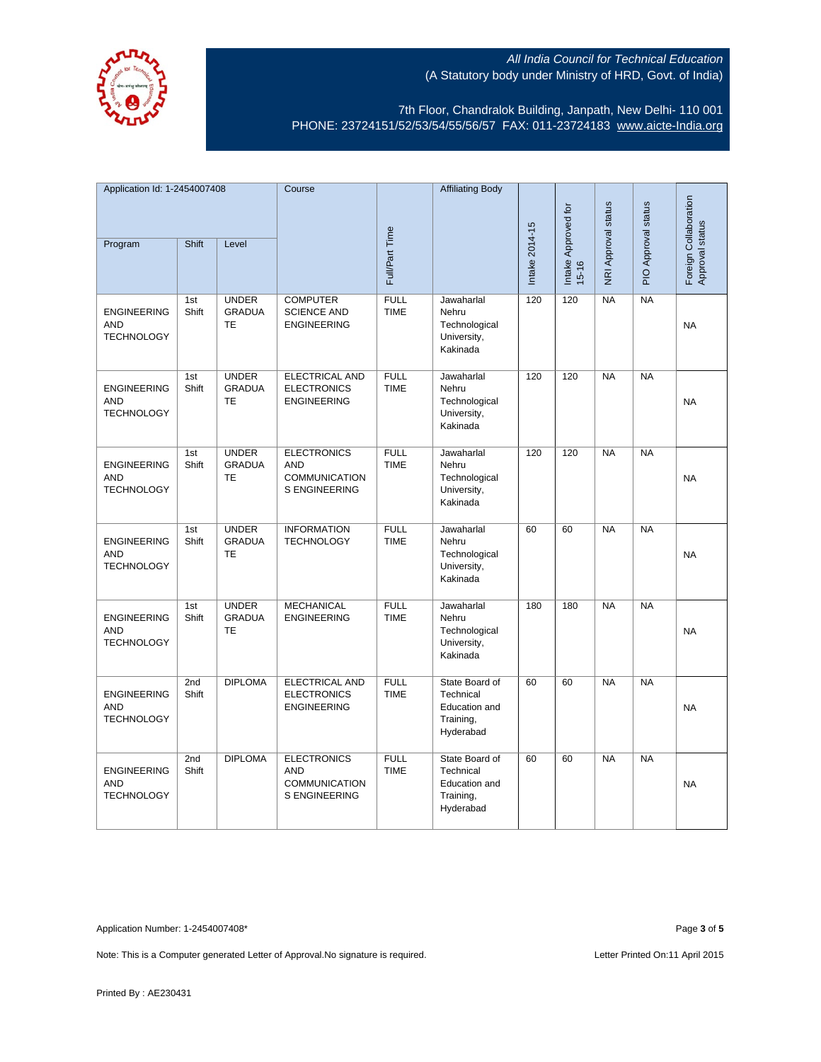

7th Floor, Chandralok Building, Janpath, New Delhi- 110 001 PHONE: 23724151/52/53/54/55/56/57 FAX: 011-23724183 [www.aicte-India.org](http://www.aicte-india.org/)

| Application Id: 1-2454007408                          |              | Course                                     |                                                                           | <b>Affiliating Body</b>    |                                                                        |                |                                  |                     |                     |                                          |
|-------------------------------------------------------|--------------|--------------------------------------------|---------------------------------------------------------------------------|----------------------------|------------------------------------------------------------------------|----------------|----------------------------------|---------------------|---------------------|------------------------------------------|
| Program                                               | Shift        | Level                                      |                                                                           | Full/Part Time             |                                                                        | Intake 2014-15 | Intake Approved for<br>$15 - 16$ | NRI Approval status | PIO Approval status | Foreign Collaboration<br>Approval status |
|                                                       |              |                                            |                                                                           |                            |                                                                        |                |                                  |                     |                     |                                          |
| <b>ENGINEERING</b><br><b>AND</b><br><b>TECHNOLOGY</b> | 1st<br>Shift | <b>UNDER</b><br><b>GRADUA</b><br><b>TE</b> | <b>COMPUTER</b><br><b>SCIENCE AND</b><br><b>ENGINEERING</b>               | <b>FULL</b><br><b>TIME</b> | Jawaharlal<br>Nehru<br>Technological<br>University,<br>Kakinada        | 120            | 120                              | <b>NA</b>           | <b>NA</b>           | <b>NA</b>                                |
| <b>ENGINEERING</b><br><b>AND</b><br><b>TECHNOLOGY</b> | 1st<br>Shift | <b>UNDER</b><br><b>GRADUA</b><br><b>TE</b> | ELECTRICAL AND<br><b>ELECTRONICS</b><br><b>ENGINEERING</b>                | <b>FULL</b><br><b>TIME</b> | Jawaharlal<br>Nehru<br>Technological<br>University,<br>Kakinada        | 120            | 120                              | <b>NA</b>           | <b>NA</b>           | <b>NA</b>                                |
| <b>ENGINEERING</b><br><b>AND</b><br><b>TECHNOLOGY</b> | 1st<br>Shift | <b>UNDER</b><br><b>GRADUA</b><br><b>TE</b> | <b>ELECTRONICS</b><br><b>AND</b><br><b>COMMUNICATION</b><br>S ENGINEERING | <b>FULL</b><br><b>TIME</b> | Jawaharlal<br>Nehru<br>Technological<br>University,<br>Kakinada        | 120            | 120                              | <b>NA</b>           | <b>NA</b>           | <b>NA</b>                                |
| <b>ENGINEERING</b><br><b>AND</b><br><b>TECHNOLOGY</b> | 1st<br>Shift | <b>UNDER</b><br><b>GRADUA</b><br><b>TE</b> | <b>INFORMATION</b><br><b>TECHNOLOGY</b>                                   | <b>FULL</b><br><b>TIME</b> | Jawaharlal<br>Nehru<br>Technological<br>University,<br>Kakinada        | 60             | 60                               | NA                  | NA                  | <b>NA</b>                                |
| <b>ENGINEERING</b><br><b>AND</b><br><b>TECHNOLOGY</b> | 1st<br>Shift | <b>UNDER</b><br><b>GRADUA</b><br><b>TE</b> | <b>MECHANICAL</b><br><b>ENGINEERING</b>                                   | <b>FULL</b><br><b>TIME</b> | Jawaharlal<br>Nehru<br>Technological<br>University,<br>Kakinada        | 180            | 180                              | <b>NA</b>           | $N_A$               | <b>NA</b>                                |
| <b>ENGINEERING</b><br><b>AND</b><br><b>TECHNOLOGY</b> | 2nd<br>Shift | <b>DIPLOMA</b>                             | ELECTRICAL AND<br><b>ELECTRONICS</b><br><b>ENGINEERING</b>                | <b>FULL</b><br><b>TIME</b> | State Board of<br>Technical<br>Education and<br>Training,<br>Hyderabad | 60             | 60                               | <b>NA</b>           | <b>NA</b>           | <b>NA</b>                                |
| <b>ENGINEERING</b><br><b>AND</b><br><b>TECHNOLOGY</b> | 2nd<br>Shift | <b>DIPLOMA</b>                             | <b>ELECTRONICS</b><br><b>AND</b><br>COMMUNICATION<br>S ENGINEERING        | <b>FULL</b><br><b>TIME</b> | State Board of<br>Technical<br>Education and<br>Training,<br>Hyderabad | 60             | 60                               | <b>NA</b>           | <b>NA</b>           | <b>NA</b>                                |

Application Number: 1-2454007408\* Page **3** of **5**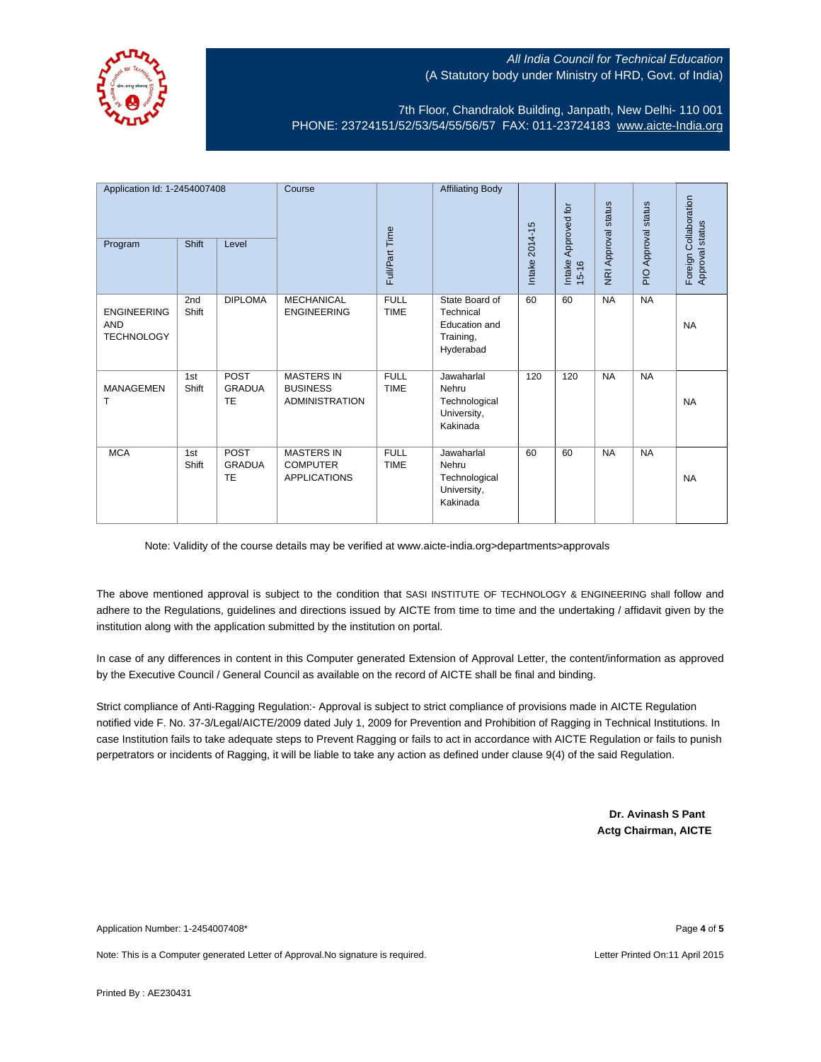

7th Floor, Chandralok Building, Janpath, New Delhi- 110 001 PHONE: 23724151/52/53/54/55/56/57 FAX: 011-23724183 [www.aicte-India.org](http://www.aicte-india.org/)

| Application Id: 1-2454007408<br>Program               | <b>Shift</b> | Level                              | Course                                                        | Full/Part Time             | <b>Affiliating Body</b>                                                       | Intake 2014-15 | Approved for<br>Intake<br>$15 - 16$ | NRI Approval status | PIO Approval status | Foreign Collaboration<br>Approval status |
|-------------------------------------------------------|--------------|------------------------------------|---------------------------------------------------------------|----------------------------|-------------------------------------------------------------------------------|----------------|-------------------------------------|---------------------|---------------------|------------------------------------------|
| <b>ENGINEERING</b><br><b>AND</b><br><b>TECHNOLOGY</b> | 2nd<br>Shift | <b>DIPLOMA</b>                     | <b>MECHANICAL</b><br><b>ENGINEERING</b>                       | <b>FULL</b><br><b>TIME</b> | State Board of<br>Technical<br><b>Education and</b><br>Training,<br>Hyderabad | 60             | 60                                  | <b>NA</b>           | <b>NA</b>           | <b>NA</b>                                |
| <b>MANAGEMEN</b><br>т                                 | 1st<br>Shift | <b>POST</b><br><b>GRADUA</b><br>TE | <b>MASTERS IN</b><br><b>BUSINESS</b><br><b>ADMINISTRATION</b> | <b>FULL</b><br><b>TIME</b> | Jawaharlal<br>Nehru<br>Technological<br>University,<br>Kakinada               | 120            | 120                                 | <b>NA</b>           | <b>NA</b>           | <b>NA</b>                                |
| <b>MCA</b>                                            | 1st<br>Shift | <b>POST</b><br><b>GRADUA</b><br>TE | <b>MASTERS IN</b><br><b>COMPUTER</b><br><b>APPLICATIONS</b>   | <b>FULL</b><br><b>TIME</b> | Jawaharlal<br>Nehru<br>Technological<br>University,<br>Kakinada               | 60             | 60                                  | <b>NA</b>           | <b>NA</b>           | <b>NA</b>                                |

Note: Validity of the course details may be verified at www.aicte-india.org>departments>approvals

The above mentioned approval is subject to the condition that SASI INSTITUTE OF TECHNOLOGY & ENGINEERING shall follow and adhere to the Regulations, guidelines and directions issued by AICTE from time to time and the undertaking / affidavit given by the institution along with the application submitted by the institution on portal.

In case of any differences in content in this Computer generated Extension of Approval Letter, the content/information as approved by the Executive Council / General Council as available on the record of AICTE shall be final and binding.

Strict compliance of Anti-Ragging Regulation:- Approval is subject to strict compliance of provisions made in AICTE Regulation notified vide F. No. 37-3/Legal/AICTE/2009 dated July 1, 2009 for Prevention and Prohibition of Ragging in Technical Institutions. In case Institution fails to take adequate steps to Prevent Ragging or fails to act in accordance with AICTE Regulation or fails to punish perpetrators or incidents of Ragging, it will be liable to take any action as defined under clause 9(4) of the said Regulation.

> **Dr. Avinash S Pant Actg Chairman, AICTE**

Application Number: 1-2454007408\* Page **4** of **5**

Note: This is a Computer generated Letter of Approval.No signature is required. Letter According the state of the Letter Printed On:11 April 2015